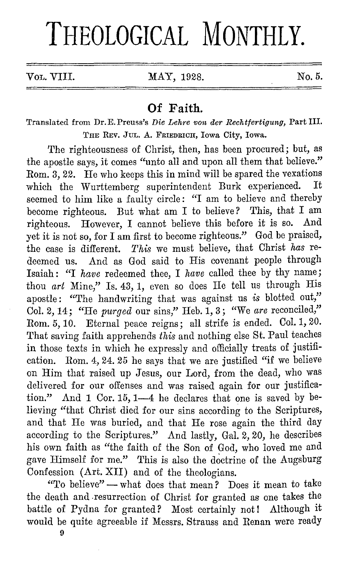# **THEOLOGICAL MONTHLY.**

Vol. VIII. MAY, 1928. No. 5.

### **Of Faith.**

Translatecl from Dr.E.Preuss's *Die Lehre von der Rechtfertigung,* Part III. TnE REV. JUL. A. FRIEDRIOII, Iowa City, Iowa.

The righteousness of Christ, then, has been procured; but, as the apostle says, it comes "unto all and upon all them that believe." Rom. 3, 22. He who keeps this in mind will be spared the vexations<br>which the Wurttemberg superintendent Burk experienced. It which the Wurttemberg superintendent Burk experienced. seemed to him like a faulty circle: "I am to believe and thereby become righteous. But what am I to believe? This, that I am righteous. However I cannot believe this before it is so. And righteous. However, I cannot believe this before it is so. yet it is not so, for I am first to become righteous." God be praised, the case is different. *This* we must believe, that Christ *has* redeemed us. And as God said to His covenant people through Isaiah : "I *have* redeemed thee, I *have* called thee by thy name; thou *art* Mine," Is. 43, 1, even so does He tell us through His apostle: "The handwriting that was against us *is* blotted out," Col. 2, 14; "He *purged* our sins," Heb. 1, 3; "We *arc* reconciled," Rom. 5, 10. Eternal peace reigns; all strife is ended. Col. 1, 20. That saving faith apprehends *this* and nothing else St. Paul teaches in those texts in which he expressly and officially treats of justification. Rom. 4, 24. 25 he says that we are justified "if we believe on Him that raised up Jesus, our Lord, from the dead, who was delivered for our offenses and was raised again for our justification." And 1 Cor. 15, 1-4 he declares that one is saved by believing "that Christ died for our sins according to the Scriptures, and that He was buried, and that He rose again the third day according to the Scriptures." And lastly, Gal. 2, 20, he describes his own faith as "the faith of the Son of God, who loved me and gave Himself for me." This is also the doctrine of the Augsburg Confession (Art. XII) and of the theologians.

"To believe"  $\rightarrow$  what does that mean? Does it mean to take the death and .resurrection of Christ for granted as one takes the battle of Pydna for granted? Most certainly not! Although it would be quite agreeable if Messrs. Strauss and Renan were ready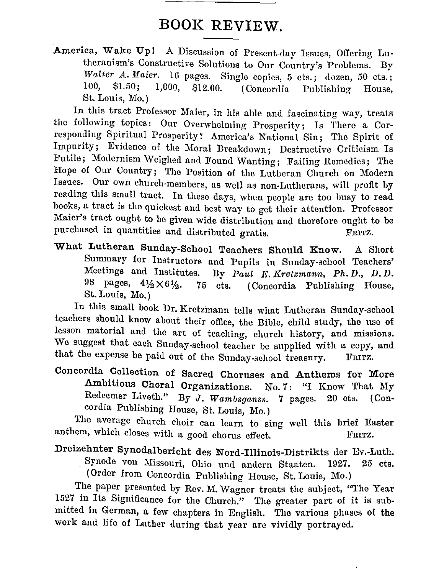## **BOOK REVIEW.**

America, Wake Up! A Discussion of Present-day Issues, Offering Lutheranism's Constructive Solutions to Our Country's Problems. **By**  *Walter A. Maier.* 16 pages. Single copies, 5 cts.; dozen, 50 cts.; 100. \$1.50; 1.000, \$12.00 (Concential Dublishing House)  $1,000$ , \$12.00. (Concordia Publishing House, St. Louis, Mo.)

**In** this tract Professor Maier, in his able and fascinating way, treats the following topics: Our Overwhelming Prosperity; Is There a Corresponding Spiritual Prosperity? America's National Sin; The Spirit of Impurity; Evidence of the Moral Breakdown; Destructive Criticism Is Futile; Modernism Weighed and Found Wanting; Failing Remedies; The Hope of Our Country; The Position of the Lutheran Church on Modern Issues. Our own church-members, as well as non-Lutherans, will profit by reading this small tract. In these days, when people arc too busy to read books, a tract is the quickest and best way to get their attention. Professor Maier's tract ought to be given wide distribution and therefore ought to be purchased in quantities and distributed gratis. FRITZ.

What Lutheran Sunday-School Teachers Should Know. A Short Summary for Instructors and Pupils in Sunday-school Teachers' Meetings and Institutes. By Paul E Kretzmann, Ph. D., D.D. By *Paul E. Kretzmann, Ph.D., D.D.* 98 pages,  $4\frac{1}{2} \times 6\frac{1}{2}$ . 75 cts. (Concordia Publishing House, St. Louis, Mo.)

In this small hook Dr. Kretzinann tells what Lutheran Sunday-school teachers should know about their office, the Bible, child study, the use of lesson material and the art of teaching, church history, and missions. We suggest that each Sunday-school teacher be supplied with a copy, and that the expense be paid out of the Sunday-school treasury. FRITZ.

Concordia Collection of Sacred Choruses and Anthems for More Ambitious Choral Organizations. No. 7: "I Know That My Redeemer Liveth." By J. *Wambsganss.* 7 pages. 20 cts. (Concordia Publishing House, St. Louis, Mo.)

The average church choir can learn to sing well this brief Easter anthem, which closes with a good chorus effect. FRITZ.

Dreizehnter Synodalbericht des Nord-Illinois-Distrikts der Ev.-Luth . Synode von Missouri, Ohio und andern Staaten. 1927. 25 cts. ( Order from Concordia Publishing House, St. Louis, Mo.)

The paper presented by Rev. M. Wagner treats the subject, "The Year 1527 in Its Significance for the Church." The greater part of it is submitted in German, a few chapters in English. The various phases of the work and life of Luther during that year are vividly portrayed.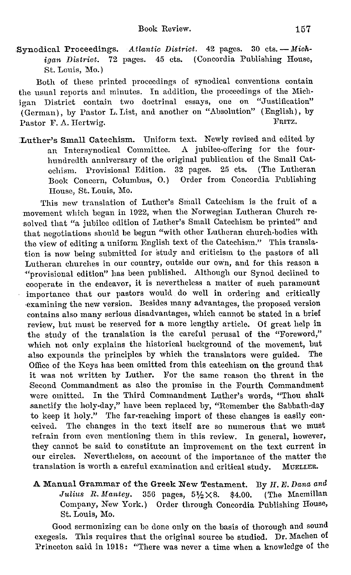Synodical Proceedings. Atlantic District. 42 pages. 30 cts. - Michigan District. 72 pages. 45 cts. (Concordia Publishing House, St. Louis, Mo.)

Both of these printed proceedings of synodical conventions contain the usual reports and minutes. In addition, the proceedings of the Michigan District contain two doctrinal essays, one on "Justification" (German), by Pastor L. List, and another on "Absolution" (English), by Pastor F. A. Hertwig. The Pastor F. A. Hertwig.

.Luther's Small Catechism. Uniform text. Newly revised and edited by an Intersynodical Committee. A jubilee-offering for the fourhundredth anniversary of the original publication of the Small Catechism. Provisional Edition. 32 pages. 25 cts. (The Lutheran Book Concern, Columbus, 0.) Order from Concordia Publishing House, St. Louis, Mo.

'fhis new translation of Luther's Small Catechism is the fruit of a movement which began in 1922, when the Norwegian Lutheran Church resolved that "a jubilee edition of Luther's Small Catechism be printed" and that negotiations should be begun "with other Lutheran church-bodies with the view of editing a uniform English text of the Catechism." This translation is now being submitted for study and criticism to the pastors of all Lutheran churches in our country, outside our own, and for this reason a ·"provisional edition" has been published. Although our Synod declined to cooperate in the endeavor, it is nevertheless a matter of such paramount importance that our pastors would do well in ordering and critically examining the new version. Besides many advantages, the proposed version contains also many serious disadvantages, which cannot be stated in a brief review, but must be reserved for a more lengthy article. Of great help in the study of the translation is the careful perusal of the "Foreword," which not only explains the historical background of the movement, but also expounds the principles by which the translators were guided. The Office of the Keys has been omitted from this catechism on the ground that it was not written by Luther. For the same reason the threat in the Second Commandment as also the promise in the Fourth Commandment were omitted. In the Third Commandment Luther's words, "Thou shalt sanctify the holy-day," have been replaced by, "Remember the Sabbath-day to keep it holy." The far-reaching import of these changes is easily conceived. The changes in the text itself are so numerous that we must refrain from even mentioning them in this review. In general, however, they cannot be said to constitute an improvement on the text current in our circles. Nevertheless, on account of the importance of the matter the translation is worth a careful examination and critical study. MUELLER,

#### A Manual Grammar of the Greek New Testament. By *H. E. Dana and Julius R. Mantey.* 356 pages, 5½×8. \$4.00. (The Macmillan *Julius R. Mantey.* 356 pages,  $5\frac{1}{2} \times 8$ . \$4.00. Company, New York.) Order through Concordia Publishing House, St. Louis, Mo.

Good sermonizing can be done only on the basis of thorough and sound exegesis. This requires that the original source be studied. Dr. Machen of Princeton said in 1918: "There was never a time when a knowledge of the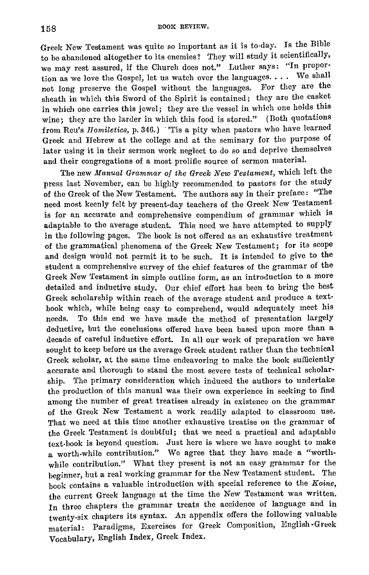Greek New Testament was quite so important as it is to-day. Is the Bible to be abandoned altogether to its enemies? They will study it scientifically, we may rest assured, if the Church does not." Luther says: "In propor· tion as we love the Gospel, let us watch over the languages.  $\dots$  We shall not long preserve the Gospel without the languages. For they are the sheath in which this Sword of the Spirit is contained; they are the casket in which one carries this jewel; they are the vessel in which one holds this wine; they are the larder in which this food is stored." (Both quotations from Reu's *Homiletics*, p. 346.) 'Tis a pity when pastors who have learned Greek and Hebrew at the college and at the seminary for the purpose of later using it in their sermon work neglect to do so and deprive themselves and their congregations of a most prolific source of sermon material.

The new *Manual Grammar of the Greek New Testament,* which left the press last November, can be highly recommended to pastors for the study of the Greek of the New Testament. The authors say in their preface: "The need most keenly felt by present-day teachers of the Greek New Testament is for an accurate and comprehensive compendium of grammar which is adaptable to the average student. This need we have attempted to supply in the following pages. The book is not offered as an exhaustive treatment of the grammatical phenomena of the Greek New Testament; for its scope and design would not permit it to be such. It is intended to give to the student a comprehensive survey of the chief features of the grammar of the Greek New 'festament in simple outline form, as an introduction to a more detailed and inductive study. Our chief effort has been to bring the best Greek scholarship within reach of the average student and produce a textbook which, while being easy to comprehend, would adequately meet his needs. To this end we have made the method of presentation largely deductive, but the conclusions offered have been based upon more than a decade of careful inductive effort. In all our work of preparation we have sought to keep before us the average Greek student rather than the technical Greek scholar, at the same time endeavoring to make the book sufficiently accurate and thorough to stand the most severe tests of technical scholarship. The primary consideration which induced the authors to undertake the production of this manual was their own experience in seeking to find among the number of great treatises already in existence on the grammar of the Greek New Testament a work readily adapted to classroom use. That we need at this time another exhaustive treatise on the grammar of the Greek Testament is doubtful; that we need a practical and adaptable text-book is beyond question. Just here is where we have sought to make a worth-while contribution." We agree that they have made a "worthwhile contribution." What they present is not an easy grammar for the beginner, but a real working grammar for the New Testament student. The book contains a valuable introduction with special reference to the *Ifoine,*  the current Greek language at the time the New Testament was written. In three chapters the grammar treats the accidence of language and in twenty-six chapters its syntax. An appendix offers the following valuable material: Paradigms, Exercises for Greek Composition, English ·Greek Vocabulary, English Index, Greek Index.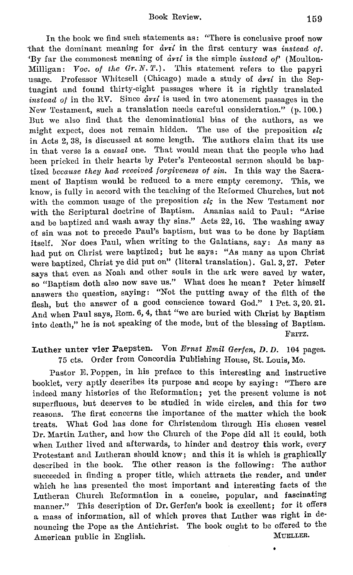In the book we find such statements as: "There is conclusive proof now that the dominant meaning for  $\partial v \cdot \hat{i}$  in the first century was *instead of.* 'By far the commonest meaning of  $\partial v \tau l$  is the simple *instead of'* (Moulton-Milligan: *Voo. of the Gr.N.T.).* This statement refers to the papyri usage. Professor Whitesell (Chicago) made a study of  $\frac{d}{dx}$  in the Septuagint and found thirty-eight passages where it is rightly translated *instead of in the RV.* Since  $\frac{d}{dt}$  is used in two atonement passages in the New Testament, such a translation needs careful consideration." (p. 100.) But we also find that the denominational bias of the authors, as we might expect, does not remain hidden. The use of the preposition  $\epsilon \mathbf{i}$ in Acts 2, 38, is discussed at some length. The authors claim that its use in that verse is a *causal* one. That would mean that the people who had been pricked in their hearts by Peter's Pentecostal sermon should be baptized *because they had received forgiveness of sin*. In this way the Sacrament of Baptism would be reduced to a mere empty ceremony. This, we know, is fully in accord with the teaching of the Reformed Churches, but not with the common usage of the preposition  $\epsilon l$ , in the New Testament nor with the Scriptural doctrine of Baptism. Ananias said to Paul: "Arise and be baptized and wash away thy sins." Acts 22, 16. The washing away of sin was not to precede Paul's baptism, but was to be done by Baptism itself. Nor does Paul, when writing to the Galatians, say: As many as had put on Christ were baptized; but he says: "As many as upon Christ were baptized, Christ ye did put on" (literal translation). Gal. 3, 27. Peter says that even as Noah and other souls in the ark were saved by water, so "Baptism doth also now save us." What does he mean? Peter himself answers the question, saying: "Not the putting away of the filth of the flesh, but the answer of a good conscience toward God." 1 Pet. 3, 20. 21. And when Paul says, Rom. 6, 4, that "we are buried with Christ by Baptism into death," he is not speaking of the mode, but of the blessing of Baptism. FRITZ.

#### Luther unter vier Paepsten. Von *Ernst Emil Gerfen, D. D.* 104 pages. 75 cts. Order from Concordia Publishing House, St. Louis, Mo.

Pastor E. Poppen, in his preface to this interesting and instructive booklet, very aptly describes its purpose and scope by saying: "There are indeed many histories of the Reformation; yet the present volume is not superfluous, but deserves to be studied in wide circles, and this for two reasons. The first concerns the importance of the matter which the book treats. What God has done for Christendom through His chosen vessel Dr. Martin Luther, and how the Church of the Pope did all it could, both when Luther lived and afterwards, to hinder and destroy this work, every Protestant and Lutheran should know; and this it is which is graphically described in the book. The other reason is the following: The author succeeded in finding a proper title, which attracts the reader, and under which he has presented the most important and interesting facts of the Lutheran Church Reformation in a concise, popular, and fascinating manner." This description of Dr. Gerfen's book is excellent; for it offers a mass of information, all of which proves that Luther was right in denouncing the Pope as the Antichrist. The book ought to be offered to the American public in English. MUELLER.

 $\bullet$